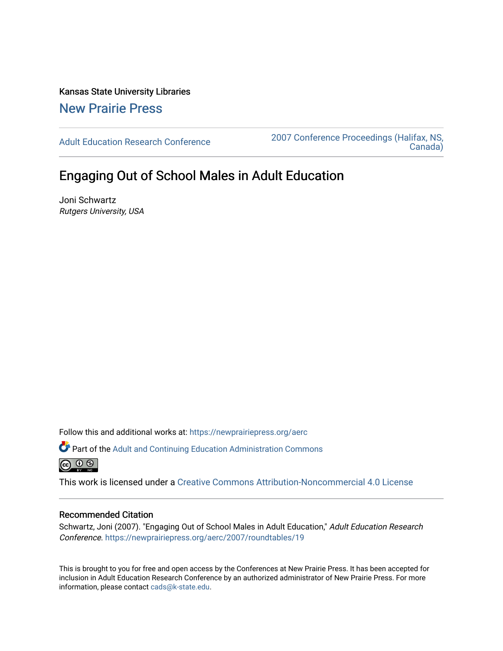Kansas State University Libraries [New Prairie Press](https://newprairiepress.org/) 

[Adult Education Research Conference](https://newprairiepress.org/aerc) [2007 Conference Proceedings \(Halifax, NS,](https://newprairiepress.org/aerc/2007)  [Canada\)](https://newprairiepress.org/aerc/2007) 

# Engaging Out of School Males in Adult Education

Joni Schwartz Rutgers University, USA

Follow this and additional works at: [https://newprairiepress.org/aerc](https://newprairiepress.org/aerc?utm_source=newprairiepress.org%2Faerc%2F2007%2Froundtables%2F19&utm_medium=PDF&utm_campaign=PDFCoverPages)

Part of the [Adult and Continuing Education Administration Commons](http://network.bepress.com/hgg/discipline/789?utm_source=newprairiepress.org%2Faerc%2F2007%2Froundtables%2F19&utm_medium=PDF&utm_campaign=PDFCoverPages)  $\circledcirc$   $\circledcirc$ 

This work is licensed under a [Creative Commons Attribution-Noncommercial 4.0 License](https://creativecommons.org/licenses/by-nc/4.0/)

### Recommended Citation

Schwartz, Joni (2007). "Engaging Out of School Males in Adult Education," Adult Education Research Conference.<https://newprairiepress.org/aerc/2007/roundtables/19>

This is brought to you for free and open access by the Conferences at New Prairie Press. It has been accepted for inclusion in Adult Education Research Conference by an authorized administrator of New Prairie Press. For more information, please contact [cads@k-state.edu](mailto:cads@k-state.edu).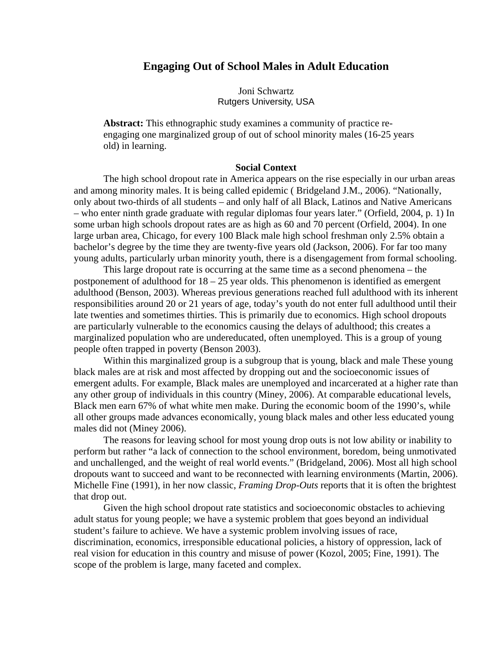## **Engaging Out of School Males in Adult Education**

Joni Schwartz Rutgers University, USA

**Abstract:** This ethnographic study examines a community of practice reengaging one marginalized group of out of school minority males (16-25 years old) in learning.

#### **Social Context**

The high school dropout rate in America appears on the rise especially in our urban areas and among minority males. It is being called epidemic ( Bridgeland J.M., 2006). "Nationally, only about two-thirds of all students – and only half of all Black, Latinos and Native Americans – who enter ninth grade graduate with regular diplomas four years later." (Orfield, 2004, p. 1) In some urban high schools dropout rates are as high as 60 and 70 percent (Orfield, 2004). In one large urban area, Chicago, for every 100 Black male high school freshman only 2.5% obtain a bachelor's degree by the time they are twenty-five years old (Jackson, 2006). For far too many young adults, particularly urban minority youth, there is a disengagement from formal schooling.

This large dropout rate is occurring at the same time as a second phenomena – the postponement of adulthood for 18 – 25 year olds. This phenomenon is identified as emergent adulthood (Benson, 2003). Whereas previous generations reached full adulthood with its inherent responsibilities around 20 or 21 years of age, today's youth do not enter full adulthood until their late twenties and sometimes thirties. This is primarily due to economics. High school dropouts are particularly vulnerable to the economics causing the delays of adulthood; this creates a marginalized population who are undereducated, often unemployed. This is a group of young people often trapped in poverty (Benson 2003).

Within this marginalized group is a subgroup that is young, black and male These young black males are at risk and most affected by dropping out and the socioeconomic issues of emergent adults. For example, Black males are unemployed and incarcerated at a higher rate than any other group of individuals in this country (Miney, 2006). At comparable educational levels, Black men earn 67% of what white men make. During the economic boom of the 1990's, while all other groups made advances economically, young black males and other less educated young males did not (Miney 2006).

The reasons for leaving school for most young drop outs is not low ability or inability to perform but rather "a lack of connection to the school environment, boredom, being unmotivated and unchallenged, and the weight of real world events." (Bridgeland, 2006). Most all high school dropouts want to succeed and want to be reconnected with learning environments (Martin, 2006). Michelle Fine (1991), in her now classic, *Framing Drop*-*Outs* reports that it is often the brightest that drop out.

Given the high school dropout rate statistics and socioeconomic obstacles to achieving adult status for young people; we have a systemic problem that goes beyond an individual student's failure to achieve. We have a systemic problem involving issues of race, discrimination, economics, irresponsible educational policies, a history of oppression, lack of real vision for education in this country and misuse of power (Kozol, 2005; Fine, 1991). The scope of the problem is large, many faceted and complex.